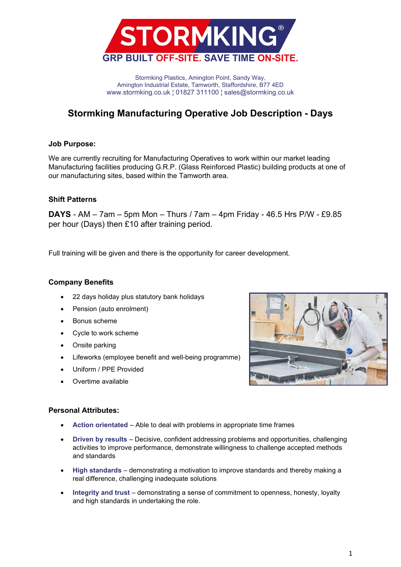

Stormking Plastics, Amington Point, Sandy Way, Amington Industrial Estate, Tamworth, Staffordshire, B77 4ED www.stormking.co.uk ¦ 01827 311100 ¦ sales@stormking.co.uk

## **Stormking Manufacturing Operative Job Description - Days**

### **Job Purpose:**

We are currently recruiting for Manufacturing Operatives to work within our market leading Manufacturing facilities producing G.R.P. (Glass Reinforced Plastic) building products at one of our manufacturing sites, based within the Tamworth area.

### **Shift Patterns**

**DAYS** - AM – 7am – 5pm Mon – Thurs / 7am – 4pm Friday - 46.5 Hrs P/W - £9.85 per hour (Days) then £10 after training period.

Full training will be given and there is the opportunity for career development.

#### **Company Benefits**

- 22 days holiday plus statutory bank holidays
- Pension (auto enrolment)
- Bonus scheme
- Cycle to work scheme
- Onsite parking
- Lifeworks (employee benefit and well-being programme)
- Uniform / PPE Provided
- Overtime available



#### **Personal Attributes:**

- **Action orientated** Able to deal with problems in appropriate time frames
- **Driven by results** Decisive, confident addressing problems and opportunities, challenging activities to improve performance, demonstrate willingness to challenge accepted methods and standards
- **High standards** demonstrating a motivation to improve standards and thereby making a real difference, challenging inadequate solutions
- **Integrity and trust** demonstrating a sense of commitment to openness, honesty, loyalty and high standards in undertaking the role.